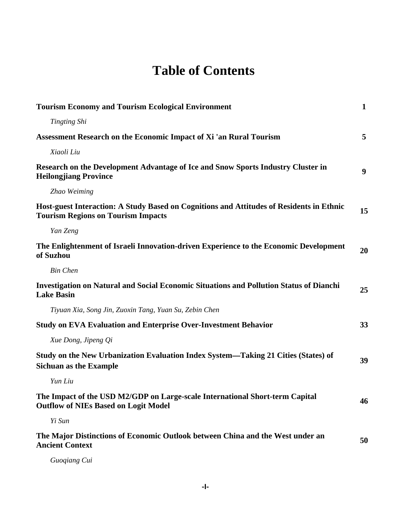## **Table of Contents**

| <b>Tourism Economy and Tourism Ecological Environment</b>                                                                             | $\mathbf{1}$ |
|---------------------------------------------------------------------------------------------------------------------------------------|--------------|
| <b>Tingting Shi</b>                                                                                                                   |              |
| Assessment Research on the Economic Impact of Xi 'an Rural Tourism                                                                    | 5            |
| Xiaoli Liu                                                                                                                            |              |
| Research on the Development Advantage of Ice and Snow Sports Industry Cluster in<br><b>Heilongjiang Province</b>                      | 9            |
| Zhao Weiming                                                                                                                          |              |
| Host-guest Interaction: A Study Based on Cognitions and Attitudes of Residents in Ethnic<br><b>Tourism Regions on Tourism Impacts</b> | 15           |
| Yan Zeng                                                                                                                              |              |
| The Enlightenment of Israeli Innovation-driven Experience to the Economic Development<br>of Suzhou                                    | 20           |
| <b>Bin Chen</b>                                                                                                                       |              |
| Investigation on Natural and Social Economic Situations and Pollution Status of Dianchi<br><b>Lake Basin</b>                          | 25           |
| Tiyuan Xia, Song Jin, Zuoxin Tang, Yuan Su, Zebin Chen                                                                                |              |
| <b>Study on EVA Evaluation and Enterprise Over-Investment Behavior</b>                                                                | 33           |
| Xue Dong, Jipeng Qi                                                                                                                   |              |
| Study on the New Urbanization Evaluation Index System—Taking 21 Cities (States) of<br><b>Sichuan as the Example</b>                   | 39           |
| Yun Liu                                                                                                                               |              |
| The Impact of the USD M2/GDP on Large-scale International Short-term Capital<br><b>Outflow of NIEs Based on Logit Model</b>           | 46           |
| Yi Sun                                                                                                                                |              |
| The Major Distinctions of Economic Outlook between China and the West under an<br><b>Ancient Context</b>                              | 50           |

*Guoqiang Cui*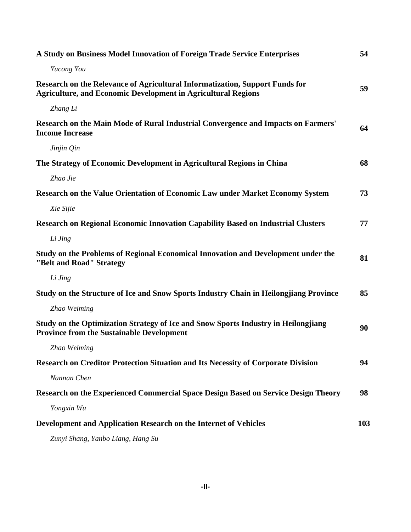| A Study on Business Model Innovation of Foreign Trade Service Enterprises                                                                            | 54  |
|------------------------------------------------------------------------------------------------------------------------------------------------------|-----|
| Yucong You                                                                                                                                           |     |
| Research on the Relevance of Agricultural Informatization, Support Funds for<br><b>Agriculture, and Economic Development in Agricultural Regions</b> | 59  |
| Zhang Li                                                                                                                                             |     |
| Research on the Main Mode of Rural Industrial Convergence and Impacts on Farmers'<br><b>Income Increase</b>                                          | 64  |
| Jinjin Qin                                                                                                                                           |     |
| The Strategy of Economic Development in Agricultural Regions in China                                                                                | 68  |
| Zhao Jie                                                                                                                                             |     |
| Research on the Value Orientation of Economic Law under Market Economy System                                                                        | 73  |
| Xie Sijie                                                                                                                                            |     |
| <b>Research on Regional Economic Innovation Capability Based on Industrial Clusters</b>                                                              | 77  |
| Li Jing                                                                                                                                              |     |
| Study on the Problems of Regional Economical Innovation and Development under the<br>"Belt and Road" Strategy                                        | 81  |
| Li Jing                                                                                                                                              |     |
| Study on the Structure of Ice and Snow Sports Industry Chain in Heilongjiang Province                                                                | 85  |
| Zhao Weiming                                                                                                                                         |     |
| Study on the Optimization Strategy of Ice and Snow Sports Industry in Heilongjiang<br><b>Province from the Sustainable Development</b>               | 90  |
| Zhao Weiming                                                                                                                                         |     |
| Research on Creditor Protection Situation and Its Necessity of Corporate Division                                                                    | 94  |
| Nannan Chen                                                                                                                                          |     |
| Research on the Experienced Commercial Space Design Based on Service Design Theory                                                                   | 98  |
| Yongxin Wu                                                                                                                                           |     |
| Development and Application Research on the Internet of Vehicles                                                                                     | 103 |
| Zunyi Shang, Yanbo Liang, Hang Su                                                                                                                    |     |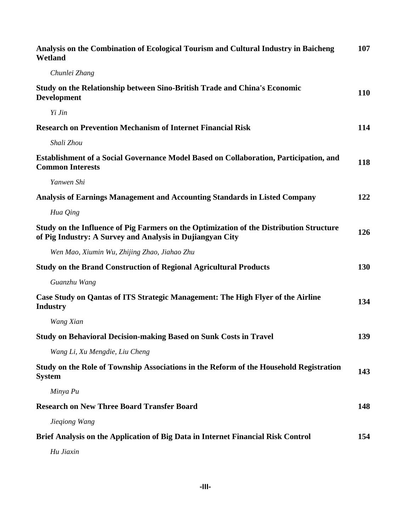| Analysis on the Combination of Ecological Tourism and Cultural Industry in Baicheng<br>Wetland                                                       | 107        |
|------------------------------------------------------------------------------------------------------------------------------------------------------|------------|
| Chunlei Zhang                                                                                                                                        |            |
| Study on the Relationship between Sino-British Trade and China's Economic<br><b>Development</b>                                                      | <b>110</b> |
| Yi Jin                                                                                                                                               |            |
| <b>Research on Prevention Mechanism of Internet Financial Risk</b>                                                                                   | 114        |
| Shali Zhou                                                                                                                                           |            |
| <b>Establishment of a Social Governance Model Based on Collaboration, Participation, and</b><br><b>Common Interests</b>                              | 118        |
| Yanwen Shi                                                                                                                                           |            |
| Analysis of Earnings Management and Accounting Standards in Listed Company                                                                           | 122        |
| Hua Qing                                                                                                                                             |            |
| Study on the Influence of Pig Farmers on the Optimization of the Distribution Structure<br>of Pig Industry: A Survey and Analysis in Dujiangyan City | 126        |
| Wen Mao, Xiumin Wu, Zhijing Zhao, Jiahao Zhu                                                                                                         |            |
| <b>Study on the Brand Construction of Regional Agricultural Products</b>                                                                             | 130        |
| Guanzhu Wang                                                                                                                                         |            |
| Case Study on Qantas of ITS Strategic Management: The High Flyer of the Airline<br><b>Industry</b>                                                   | 134        |
| Wang Xian                                                                                                                                            |            |
| <b>Study on Behavioral Decision-making Based on Sunk Costs in Travel</b>                                                                             | 139        |
| Wang Li, Xu Mengdie, Liu Cheng                                                                                                                       |            |
| Study on the Role of Township Associations in the Reform of the Household Registration<br><b>System</b>                                              | 143        |
| Minya Pu                                                                                                                                             |            |
| <b>Research on New Three Board Transfer Board</b>                                                                                                    | 148        |
| Jiegiong Wang                                                                                                                                        |            |
| Brief Analysis on the Application of Big Data in Internet Financial Risk Control                                                                     | 154        |
| Hu Jiaxin                                                                                                                                            |            |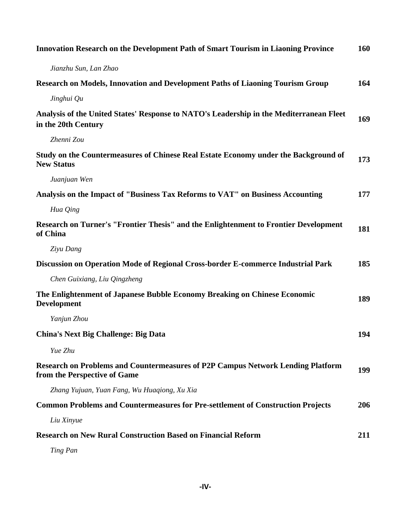| <b>Innovation Research on the Development Path of Smart Tourism in Liaoning Province</b>                               | 160 |
|------------------------------------------------------------------------------------------------------------------------|-----|
| Jianzhu Sun, Lan Zhao                                                                                                  |     |
| Research on Models, Innovation and Development Paths of Liaoning Tourism Group                                         | 164 |
| Jinghui Qu                                                                                                             |     |
| Analysis of the United States' Response to NATO's Leadership in the Mediterranean Fleet<br>in the 20th Century         | 169 |
| Zhenni Zou                                                                                                             |     |
| Study on the Countermeasures of Chinese Real Estate Economy under the Background of<br><b>New Status</b>               | 173 |
| Juanjuan Wen                                                                                                           |     |
| Analysis on the Impact of "Business Tax Reforms to VAT" on Business Accounting                                         | 177 |
| Hua Qing                                                                                                               |     |
| Research on Turner's "Frontier Thesis" and the Enlightenment to Frontier Development<br>of China                       | 181 |
| Ziyu Dang                                                                                                              |     |
| Discussion on Operation Mode of Regional Cross-border E-commerce Industrial Park                                       | 185 |
| Chen Guixiang, Liu Qingzheng                                                                                           |     |
| The Enlightenment of Japanese Bubble Economy Breaking on Chinese Economic<br><b>Development</b>                        | 189 |
| Yanjun Zhou                                                                                                            |     |
| <b>China's Next Big Challenge: Big Data</b>                                                                            | 194 |
| Yue Zhu                                                                                                                |     |
| <b>Research on Problems and Countermeasures of P2P Campus Network Lending Platform</b><br>from the Perspective of Game | 199 |
| Zhang Yujuan, Yuan Fang, Wu Huaqiong, Xu Xia                                                                           |     |
| <b>Common Problems and Countermeasures for Pre-settlement of Construction Projects</b>                                 | 206 |
| Liu Xinyue                                                                                                             |     |
| <b>Research on New Rural Construction Based on Financial Reform</b>                                                    | 211 |
| Ting Pan                                                                                                               |     |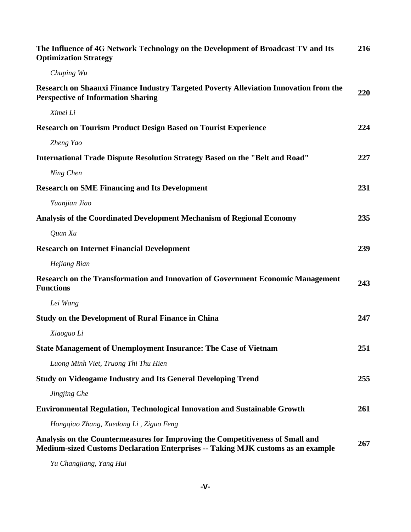| The Influence of 4G Network Technology on the Development of Broadcast TV and Its<br><b>Optimization Strategy</b>                                                  | 216 |
|--------------------------------------------------------------------------------------------------------------------------------------------------------------------|-----|
| Chuping Wu                                                                                                                                                         |     |
| Research on Shaanxi Finance Industry Targeted Poverty Alleviation Innovation from the<br><b>Perspective of Information Sharing</b>                                 | 220 |
| Ximei Li                                                                                                                                                           |     |
| <b>Research on Tourism Product Design Based on Tourist Experience</b>                                                                                              | 224 |
| Zheng Yao                                                                                                                                                          |     |
| <b>International Trade Dispute Resolution Strategy Based on the "Belt and Road"</b>                                                                                | 227 |
| Ning Chen                                                                                                                                                          |     |
| <b>Research on SME Financing and Its Development</b>                                                                                                               | 231 |
| Yuanjian Jiao                                                                                                                                                      |     |
| Analysis of the Coordinated Development Mechanism of Regional Economy                                                                                              | 235 |
| Quan Xu                                                                                                                                                            |     |
| <b>Research on Internet Financial Development</b>                                                                                                                  | 239 |
| Hejiang Bian                                                                                                                                                       |     |
| Research on the Transformation and Innovation of Government Economic Management<br><b>Functions</b>                                                                | 243 |
| Lei Wang                                                                                                                                                           |     |
| <b>Study on the Development of Rural Finance in China</b>                                                                                                          | 247 |
| Xiaoguo Li                                                                                                                                                         |     |
| <b>State Management of Unemployment Insurance: The Case of Vietnam</b>                                                                                             | 251 |
| Luong Minh Viet, Truong Thi Thu Hien                                                                                                                               |     |
| <b>Study on Videogame Industry and Its General Developing Trend</b>                                                                                                | 255 |
| Jingjing Che                                                                                                                                                       |     |
| Environmental Regulation, Technological Innovation and Sustainable Growth                                                                                          | 261 |
| Hongqiao Zhang, Xuedong Li, Ziguo Feng                                                                                                                             |     |
| Analysis on the Countermeasures for Improving the Competitiveness of Small and<br>Medium-sized Customs Declaration Enterprises -- Taking MJK customs as an example | 267 |

*Yu Changjiang, Yang Hui*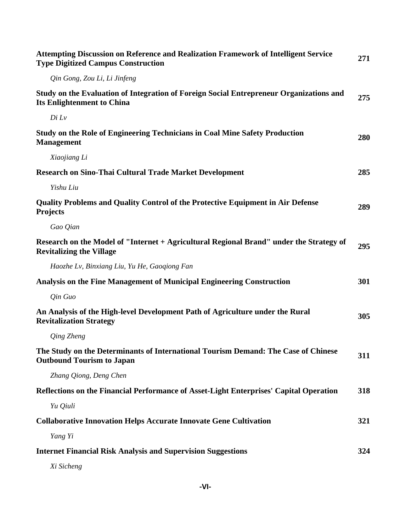| <b>Attempting Discussion on Reference and Realization Framework of Intelligent Service</b><br><b>Type Digitized Campus Construction</b> | 271 |
|-----------------------------------------------------------------------------------------------------------------------------------------|-----|
| Qin Gong, Zou Li, Li Jinfeng                                                                                                            |     |
| Study on the Evaluation of Integration of Foreign Social Entrepreneur Organizations and<br><b>Its Enlightenment to China</b>            | 275 |
| Di Lv                                                                                                                                   |     |
| Study on the Role of Engineering Technicians in Coal Mine Safety Production<br><b>Management</b>                                        | 280 |
| Xiaojiang Li                                                                                                                            |     |
| <b>Research on Sino-Thai Cultural Trade Market Development</b>                                                                          | 285 |
| Yishu Liu                                                                                                                               |     |
| <b>Quality Problems and Quality Control of the Protective Equipment in Air Defense</b><br><b>Projects</b>                               | 289 |
| Gao Qian                                                                                                                                |     |
| Research on the Model of "Internet + Agricultural Regional Brand" under the Strategy of<br><b>Revitalizing the Village</b>              | 295 |
| Haozhe Lv, Binxiang Liu, Yu He, Gaogiong Fan                                                                                            |     |
| Analysis on the Fine Management of Municipal Engineering Construction                                                                   | 301 |
| Qin Guo                                                                                                                                 |     |
| An Analysis of the High-level Development Path of Agriculture under the Rural<br><b>Revitalization Strategy</b>                         | 305 |
| Qing Zheng                                                                                                                              |     |
| The Study on the Determinants of International Tourism Demand: The Case of Chinese<br><b>Outbound Tourism to Japan</b>                  | 311 |
| Zhang Qiong, Deng Chen                                                                                                                  |     |
| Reflections on the Financial Performance of Asset-Light Enterprises' Capital Operation                                                  | 318 |
| Yu Qiuli                                                                                                                                |     |
| <b>Collaborative Innovation Helps Accurate Innovate Gene Cultivation</b>                                                                | 321 |
| Yang Yi                                                                                                                                 |     |
| <b>Internet Financial Risk Analysis and Supervision Suggestions</b>                                                                     | 324 |
| Xi Sicheng                                                                                                                              |     |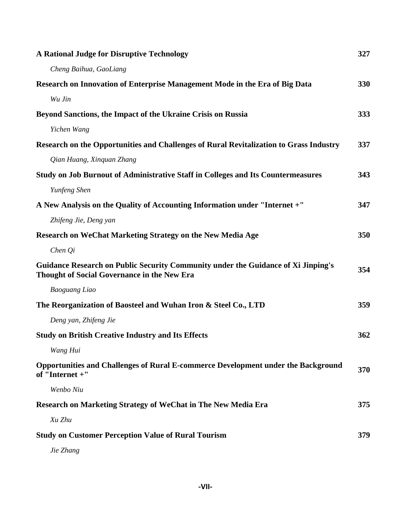| <b>A Rational Judge for Disruptive Technology</b>                                                                                | 327 |
|----------------------------------------------------------------------------------------------------------------------------------|-----|
| Cheng Baihua, GaoLiang                                                                                                           |     |
| Research on Innovation of Enterprise Management Mode in the Era of Big Data                                                      | 330 |
| Wu Jin                                                                                                                           |     |
| Beyond Sanctions, the Impact of the Ukraine Crisis on Russia                                                                     | 333 |
| Yichen Wang                                                                                                                      |     |
| Research on the Opportunities and Challenges of Rural Revitalization to Grass Industry                                           | 337 |
| Qian Huang, Xinquan Zhang                                                                                                        |     |
| Study on Job Burnout of Administrative Staff in Colleges and Its Countermeasures                                                 | 343 |
| Yunfeng Shen                                                                                                                     |     |
| A New Analysis on the Quality of Accounting Information under "Internet +"                                                       | 347 |
| Zhifeng Jie, Deng yan                                                                                                            |     |
| Research on WeChat Marketing Strategy on the New Media Age                                                                       | 350 |
| Chen Qi                                                                                                                          |     |
| Guidance Research on Public Security Community under the Guidance of Xi Jinping's<br>Thought of Social Governance in the New Era | 354 |
| <b>Baoguang Liao</b>                                                                                                             |     |
| The Reorganization of Baosteel and Wuhan Iron & Steel Co., LTD                                                                   | 359 |
| Deng yan, Zhifeng Jie                                                                                                            |     |
| <b>Study on British Creative Industry and Its Effects</b>                                                                        | 362 |
| Wang Hui                                                                                                                         |     |
| Opportunities and Challenges of Rural E-commerce Development under the Background<br>of "Internet +"                             | 370 |
| Wenbo Niu                                                                                                                        |     |
| <b>Research on Marketing Strategy of WeChat in The New Media Era</b>                                                             | 375 |
| Xu Zhu                                                                                                                           |     |
| <b>Study on Customer Perception Value of Rural Tourism</b>                                                                       | 379 |
| Jie Zhang                                                                                                                        |     |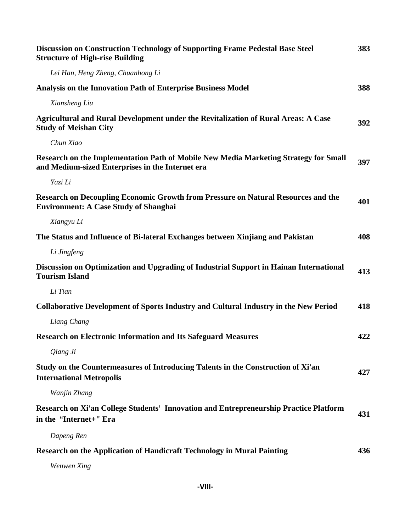| Discussion on Construction Technology of Supporting Frame Pedestal Base Steel<br><b>Structure of High-rise Building</b>                  | 383 |
|------------------------------------------------------------------------------------------------------------------------------------------|-----|
| Lei Han, Heng Zheng, Chuanhong Li                                                                                                        |     |
| <b>Analysis on the Innovation Path of Enterprise Business Model</b>                                                                      | 388 |
| Xiansheng Liu                                                                                                                            |     |
| Agricultural and Rural Development under the Revitalization of Rural Areas: A Case<br><b>Study of Meishan City</b>                       | 392 |
| Chun Xiao                                                                                                                                |     |
| Research on the Implementation Path of Mobile New Media Marketing Strategy for Small<br>and Medium-sized Enterprises in the Internet era | 397 |
| Yazi Li                                                                                                                                  |     |
| Research on Decoupling Economic Growth from Pressure on Natural Resources and the<br><b>Environment: A Case Study of Shanghai</b>        | 401 |
| Xiangyu Li                                                                                                                               |     |
| The Status and Influence of Bi-lateral Exchanges between Xinjiang and Pakistan                                                           | 408 |
| Li Jingfeng                                                                                                                              |     |
| Discussion on Optimization and Upgrading of Industrial Support in Hainan International<br><b>Tourism Island</b>                          | 413 |
| Li Tian                                                                                                                                  |     |
| <b>Collaborative Development of Sports Industry and Cultural Industry in the New Period</b>                                              | 418 |
| Liang Chang                                                                                                                              |     |
| <b>Research on Electronic Information and Its Safeguard Measures</b>                                                                     | 422 |
| Qiang Ji                                                                                                                                 |     |
| Study on the Countermeasures of Introducing Talents in the Construction of Xi'an<br><b>International Metropolis</b>                      | 427 |
| Wanjin Zhang                                                                                                                             |     |
| Research on Xi'an College Students' Innovation and Entrepreneurship Practice Platform<br>in the "Internet+" Era                          | 431 |
| Dapeng Ren                                                                                                                               |     |
| Research on the Application of Handicraft Technology in Mural Painting                                                                   | 436 |
| Wenwen Xing                                                                                                                              |     |

**-VIII-**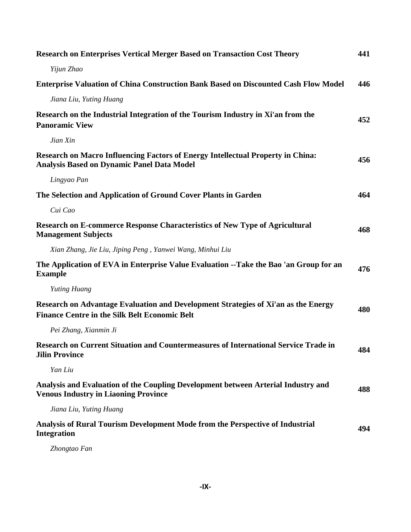| <b>Research on Enterprises Vertical Merger Based on Transaction Cost Theory</b>                                                            | 441 |
|--------------------------------------------------------------------------------------------------------------------------------------------|-----|
| Yijun Zhao                                                                                                                                 |     |
| <b>Enterprise Valuation of China Construction Bank Based on Discounted Cash Flow Model</b>                                                 | 446 |
| Jiana Liu, Yuting Huang                                                                                                                    |     |
| Research on the Industrial Integration of the Tourism Industry in Xi'an from the<br><b>Panoramic View</b>                                  | 452 |
| Jian Xin                                                                                                                                   |     |
| Research on Macro Influencing Factors of Energy Intellectual Property in China:<br><b>Analysis Based on Dynamic Panel Data Model</b>       | 456 |
| Lingyao Pan                                                                                                                                |     |
| The Selection and Application of Ground Cover Plants in Garden                                                                             | 464 |
| Cui Cao                                                                                                                                    |     |
| Research on E-commerce Response Characteristics of New Type of Agricultural<br><b>Management Subjects</b>                                  | 468 |
| Xian Zhang, Jie Liu, Jiping Peng, Yanwei Wang, Minhui Liu                                                                                  |     |
| The Application of EVA in Enterprise Value Evaluation --Take the Bao 'an Group for an<br><b>Example</b>                                    | 476 |
| Yuting Huang                                                                                                                               |     |
| Research on Advantage Evaluation and Development Strategies of Xi'an as the Energy<br><b>Finance Centre in the Silk Belt Economic Belt</b> | 480 |
| Pei Zhang, Xianmin Ji                                                                                                                      |     |
| Research on Current Situation and Countermeasures of International Service Trade in<br><b>Jilin Province</b>                               | 484 |
| Yan Liu                                                                                                                                    |     |
| Analysis and Evaluation of the Coupling Development between Arterial Industry and<br><b>Venous Industry in Liaoning Province</b>           | 488 |
| Jiana Liu, Yuting Huang                                                                                                                    |     |
| Analysis of Rural Tourism Development Mode from the Perspective of Industrial<br><b>Integration</b>                                        | 494 |
| $\mathcal{D}_{\text{base}}$                                                                                                                |     |

*Zhongtao Fan*